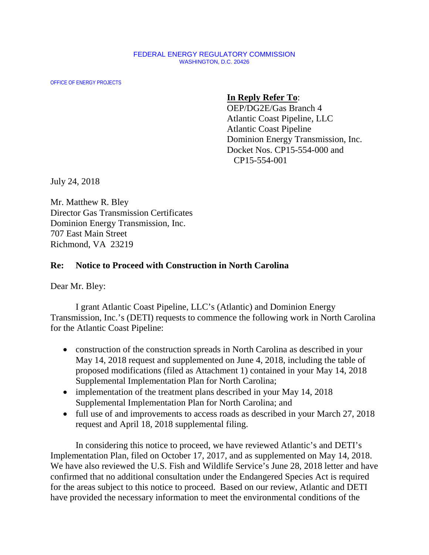## FEDERAL ENERGY REGULATORY COMMISSION WASHINGTON, D.C. 20426

OFFICE OF ENERGY PROJECTS

## **In Reply Refer To**:

OEP/DG2E/Gas Branch 4 Atlantic Coast Pipeline, LLC Atlantic Coast Pipeline Dominion Energy Transmission, Inc. Docket Nos. CP15-554-000 and CP15-554-001

July 24, 2018

Mr. Matthew R. Bley Director Gas Transmission Certificates Dominion Energy Transmission, Inc. 707 East Main Street Richmond, VA 23219

## **Re: Notice to Proceed with Construction in North Carolina**

Dear Mr. Bley:

I grant Atlantic Coast Pipeline, LLC's (Atlantic) and Dominion Energy Transmission, Inc.'s (DETI) requests to commence the following work in North Carolina for the Atlantic Coast Pipeline:

- construction of the construction spreads in North Carolina as described in your May 14, 2018 request and supplemented on June 4, 2018, including the table of proposed modifications (filed as Attachment 1) contained in your May 14, 2018 Supplemental Implementation Plan for North Carolina;
- implementation of the treatment plans described in your May 14, 2018 Supplemental Implementation Plan for North Carolina; and
- full use of and improvements to access roads as described in your March 27, 2018 request and April 18, 2018 supplemental filing.

In considering this notice to proceed, we have reviewed Atlantic's and DETI's Implementation Plan, filed on October 17, 2017, and as supplemented on May 14, 2018. We have also reviewed the U.S. Fish and Wildlife Service's June 28, 2018 letter and have confirmed that no additional consultation under the Endangered Species Act is required for the areas subject to this notice to proceed. Based on our review, Atlantic and DETI have provided the necessary information to meet the environmental conditions of the